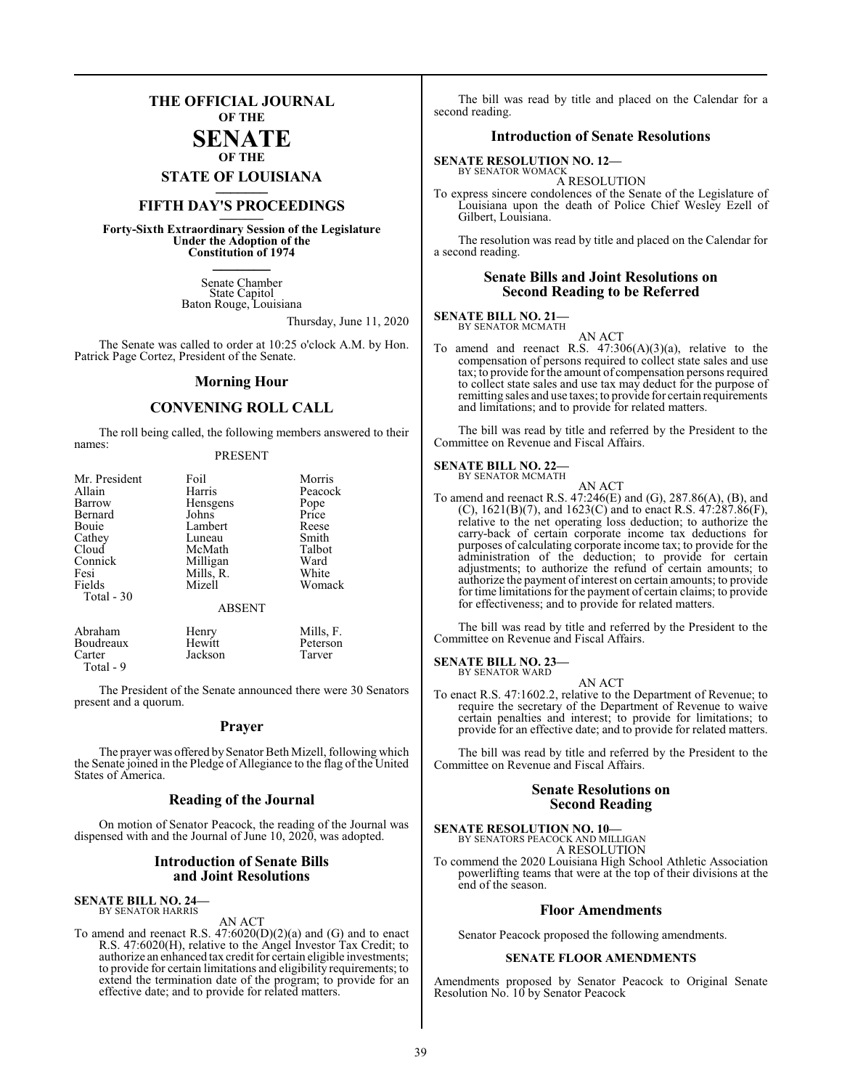## **THE OFFICIAL JOURNAL OF THE**

#### **SENATE OF THE**

**STATE OF LOUISIANA \_\_\_\_\_\_\_**

## **FIFTH DAY'S PROCEEDINGS \_\_\_\_\_\_\_**

**Forty-Sixth Extraordinary Session of the Legislature Under the Adoption of the Constitution of 1974 \_\_\_\_\_\_\_**

> Senate Chamber State Capitol Baton Rouge, Louisiana

> > Thursday, June 11, 2020

The Senate was called to order at 10:25 o'clock A.M. by Hon. Patrick Page Cortez, President of the Senate.

#### **Morning Hour**

#### **CONVENING ROLL CALL**

The roll being called, the following members answered to their names:

#### PRESENT

| Mr. President  | Foil          | Morris    |  |  |
|----------------|---------------|-----------|--|--|
| Allain         | Harris        | Peacock   |  |  |
| Barrow         | Hensgens      | Pope      |  |  |
| Bernard        | Johns         | Price     |  |  |
| Bouie          | Lambert       | Reese     |  |  |
| Cathey         | Luneau        | Smith     |  |  |
| Cloud          | McMath        | Talbot    |  |  |
| Connick        | Milligan      | Ward      |  |  |
| Fesi           | Mills, R.     | White     |  |  |
| Fields         | Mizell        | Womack    |  |  |
| Total - 30     |               |           |  |  |
| <b>ABSENT</b>  |               |           |  |  |
| Abraham<br>- - | Henry<br>$ -$ | Mills, F. |  |  |

Jackson

Boudreaux Hewitt Peterson<br>Carter Jackson Tarver Total - 9

The President of the Senate announced there were 30 Senators present and a quorum.

#### **Prayer**

The prayer was offered by Senator Beth Mizell, following which the Senate joined in the Pledge of Allegiance to the flag of the United States of America.

#### **Reading of the Journal**

On motion of Senator Peacock, the reading of the Journal was dispensed with and the Journal of June 10, 2020, was adopted.

#### **Introduction of Senate Bills and Joint Resolutions**

## **SENATE BILL NO. 24—** BY SENATOR HARRIS

AN ACT

To amend and reenact R.S. 47:6020(D)(2)(a) and (G) and to enact R.S. 47:6020(H), relative to the Angel Investor Tax Credit; to authorize an enhanced tax credit for certain eligible investments; to provide for certain limitations and eligibility requirements; to extend the termination date of the program; to provide for an effective date; and to provide for related matters.

The bill was read by title and placed on the Calendar for a second reading.

#### **Introduction of Senate Resolutions**

**SENATE RESOLUTION NO. 12—** BY SENATOR WOMACK

A RESOLUTION

To express sincere condolences of the Senate of the Legislature of Louisiana upon the death of Police Chief Wesley Ezell of Gilbert, Louisiana.

The resolution was read by title and placed on the Calendar for a second reading.

#### **Senate Bills and Joint Resolutions on Second Reading to be Referred**

#### **SENATE BILL NO. 21—** BY SENATOR MCMATH

AN ACT

To amend and reenact R.S.  $47:306(A)(3)(a)$ , relative to the compensation of persons required to collect state sales and use tax; to provide for the amount of compensation persons required to collect state sales and use tax may deduct for the purpose of remitting sales and use taxes; to provide for certain requirements and limitations; and to provide for related matters.

The bill was read by title and referred by the President to the Committee on Revenue and Fiscal Affairs.

## **SENATE BILL NO. 22—**<br>BY SENATOR MCMATH

AN ACT To amend and reenact R.S. 47:246(E) and (G), 287.86(A), (B), and (C),  $1621(B)(7)$ , and  $1623(C)$  and to enact R.S.  $47:287.86(F)$ , relative to the net operating loss deduction; to authorize the carry-back of certain corporate income tax deductions for purposes of calculating corporate income tax; to provide for the administration of the deduction; to provide for certain adjustments; to authorize the refund of certain amounts; to authorize the payment of interest on certain amounts; to provide for time limitations for the payment of certain claims; to provide for effectiveness; and to provide for related matters.

The bill was read by title and referred by the President to the Committee on Revenue and Fiscal Affairs.

## **SENATE BILL NO. 23—**<br>BY SENATOR WARD

AN ACT

To enact R.S. 47:1602.2, relative to the Department of Revenue; to require the secretary of the Department of Revenue to waive certain penalties and interest; to provide for limitations; to provide for an effective date; and to provide for related matters.

The bill was read by title and referred by the President to the Committee on Revenue and Fiscal Affairs.

#### **Senate Resolutions on Second Reading**

## **SENATE RESOLUTION NO. 10—** BY SENATORS PEACOCK AND MILLIGAN

A RESOLUTION

To commend the 2020 Louisiana High School Athletic Association powerlifting teams that were at the top of their divisions at the end of the season.

#### **Floor Amendments**

Senator Peacock proposed the following amendments.

#### **SENATE FLOOR AMENDMENTS**

Amendments proposed by Senator Peacock to Original Senate Resolution No. 10 by Senator Peacock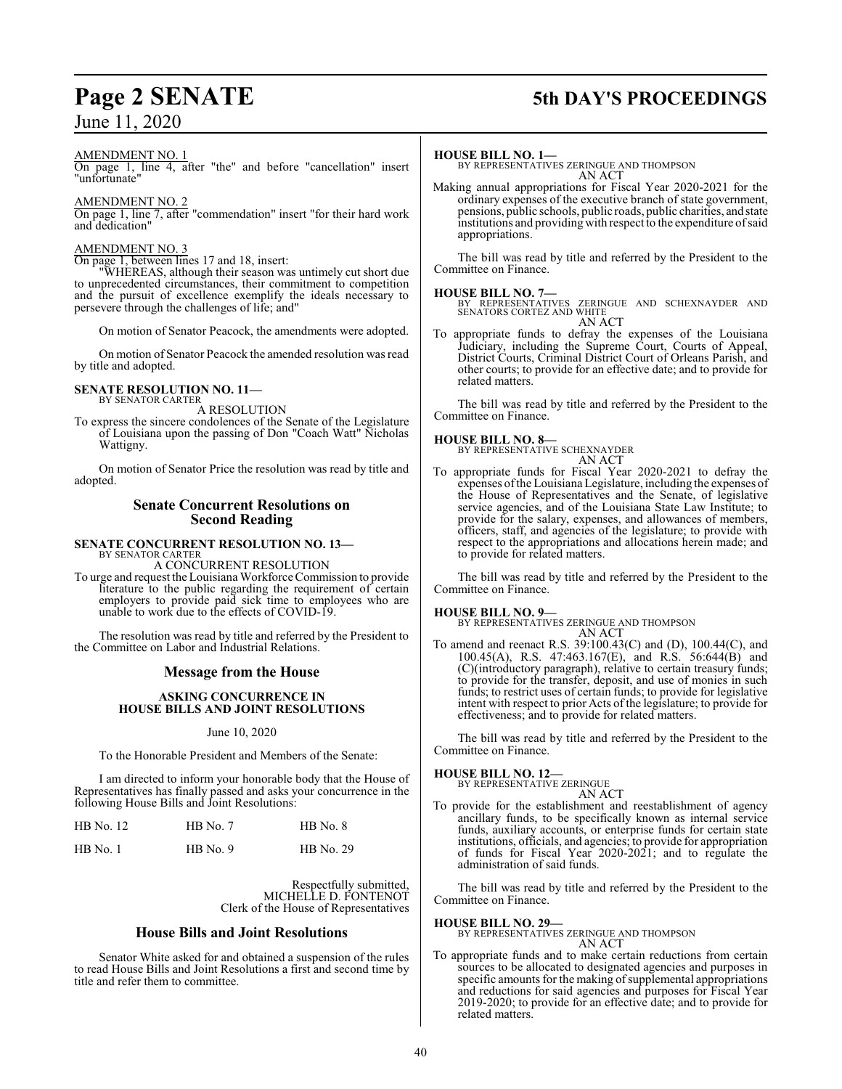## June 11, 2020

## **Page 2 SENATE 5th DAY'S PROCEEDINGS**

AMENDMENT NO. 1

On page 1, line 4, after "the" and before "cancellation" insert "unfortunate"

#### AMENDMENT NO. 2

On page 1, line 7, after "commendation" insert "for their hard work and dedication"

#### AMENDMENT NO. 3

On page 1, between lines 17 and 18, insert:

"WHEREAS, although their season was untimely cut short due to unprecedented circumstances, their commitment to competition and the pursuit of excellence exemplify the ideals necessary to persevere through the challenges of life; and"

On motion of Senator Peacock, the amendments were adopted.

On motion of Senator Peacock the amended resolution was read by title and adopted.

#### **SENATE RESOLUTION NO. 11—** BY SENATOR CARTER

A RESOLUTION

To express the sincere condolences of the Senate of the Legislature of Louisiana upon the passing of Don "Coach Watt" Nicholas Wattigny.

On motion of Senator Price the resolution was read by title and adopted.

#### **Senate Concurrent Resolutions on Second Reading**

**SENATE CONCURRENT RESOLUTION NO. 13—** BY SENATOR CARTER

A CONCURRENT RESOLUTION

To urge and request theLouisiana Workforce Commission to provide literature to the public regarding the requirement of certain employers to provide paid sick time to employees who are unable to work due to the effects of COVID-19.

The resolution was read by title and referred by the President to the Committee on Labor and Industrial Relations.

### **Message from the House**

#### **ASKING CONCURRENCE IN HOUSE BILLS AND JOINT RESOLUTIONS**

#### June 10, 2020

To the Honorable President and Members of the Senate:

I am directed to inform your honorable body that the House of Representatives has finally passed and asks your concurrence in the following House Bills and Joint Resolutions:

| HB No. 12  | $HB$ No. 7 | $HB$ No. $8$ |
|------------|------------|--------------|
| $HB$ No. 1 | $HB$ No. 9 | HB No. 29    |

Respectfully submitted, MICHELLE D. FONTENOT Clerk of the House of Representatives

#### **House Bills and Joint Resolutions**

Senator White asked for and obtained a suspension of the rules to read House Bills and Joint Resolutions a first and second time by title and refer them to committee.

#### **HOUSE BILL NO. 1—**

BY REPRESENTATIVES ZERINGUE AND THOMPSON AN ACT

Making annual appropriations for Fiscal Year 2020-2021 for the ordinary expenses of the executive branch of state government, pensions, public schools, public roads, public charities, and state institutions and providing with respect to the expenditure ofsaid appropriations.

The bill was read by title and referred by the President to the Committee on Finance.

#### **HOUSE BILL NO. 7—**

BY REPRESENTATIVES ZERINGUE AND SCHEXNAYDER AND SENATORS CORTEZ AND WHITE AN ACT

To appropriate funds to defray the expenses of the Louisiana Judiciary, including the Supreme Court, Courts of Appeal, District Courts, Criminal District Court of Orleans Parish, and other courts; to provide for an effective date; and to provide for related matters.

The bill was read by title and referred by the President to the Committee on Finance.

#### **HOUSE BILL NO. 8—**

BY REPRESENTATIVE SCHEXNAYDER

- AN ACT
- To appropriate funds for Fiscal Year 2020-2021 to defray the expenses ofthe Louisiana Legislature, including the expenses of the House of Representatives and the Senate, of legislative service agencies, and of the Louisiana State Law Institute; to provide for the salary, expenses, and allowances of members, officers, staff, and agencies of the legislature; to provide with respect to the appropriations and allocations herein made; and to provide for related matters.

The bill was read by title and referred by the President to the Committee on Finance.

#### **HOUSE BILL NO. 9—**

BY REPRESENTATIVES ZERINGUE AND THOMPSON AN ACT

To amend and reenact R.S. 39:100.43(C) and (D), 100.44(C), and 100.45(A), R.S. 47:463.167(E), and R.S.  $56:644(B)$  and (C)(introductory paragraph), relative to certain treasury funds; to provide for the transfer, deposit, and use of monies in such funds; to restrict uses of certain funds; to provide for legislative intent with respect to prior Acts of the legislature; to provide for effectiveness; and to provide for related matters.

The bill was read by title and referred by the President to the Committee on Finance.

#### **HOUSE BILL NO. 12—**

BY REPRESENTATIVE ZERINGUE

- AN ACT
- To provide for the establishment and reestablishment of agency ancillary funds, to be specifically known as internal service funds, auxiliary accounts, or enterprise funds for certain state institutions, officials, and agencies; to provide for appropriation of funds for Fiscal Year 2020-2021; and to regulate the administration of said funds.

The bill was read by title and referred by the President to the Committee on Finance.

**HOUSE BILL NO. 29—** BY REPRESENTATIVES ZERINGUE AND THOMPSON AN ACT

To appropriate funds and to make certain reductions from certain sources to be allocated to designated agencies and purposes in specific amounts for the making of supplemental appropriations and reductions for said agencies and purposes for Fiscal Year 2019-2020; to provide for an effective date; and to provide for related matters.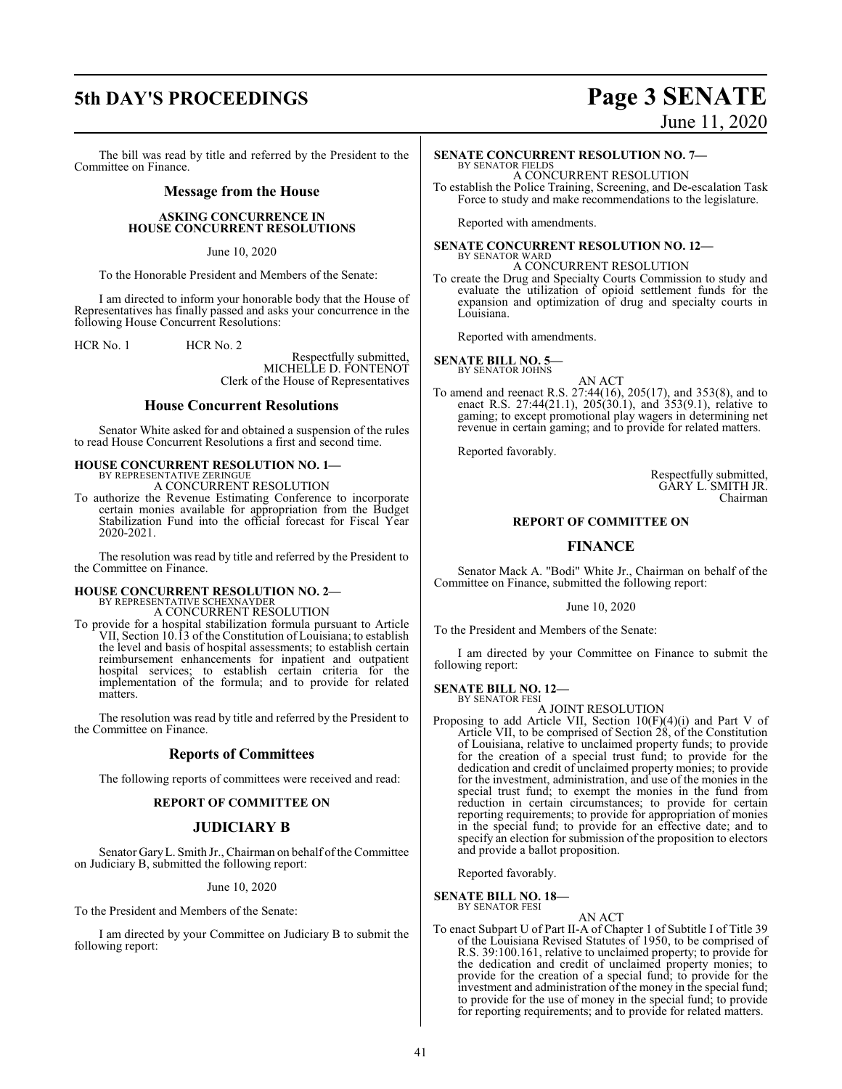## **5th DAY'S PROCEEDINGS Page 3 SENATE**

#### The bill was read by title and referred by the President to the Committee on Finance.

#### **Message from the House**

#### **ASKING CONCURRENCE IN HOUSE CONCURRENT RESOLUTIONS**

June 10, 2020

To the Honorable President and Members of the Senate:

I am directed to inform your honorable body that the House of Representatives has finally passed and asks your concurrence in the following House Concurrent Resolutions:

HCR No. 1 HCR No. 2

Respectfully submitted, MICHELLE D. FONTENOT Clerk of the House of Representatives

#### **House Concurrent Resolutions**

Senator White asked for and obtained a suspension of the rules to read House Concurrent Resolutions a first and second time.

#### **HOUSE CONCURRENT RESOLUTION NO. 1—** BY REPRESENTATIVE ZERINGUE

A CONCURRENT RESOLUTION

To authorize the Revenue Estimating Conference to incorporate certain monies available for appropriation from the Budget Stabilization Fund into the official forecast for Fiscal Year 2020-2021.

The resolution was read by title and referred by the President to the Committee on Finance.

# **HOUSE CONCURRENT RESOLUTION NO. 2—** BY REPRESENTATIVE SCHEXNAYDER A CONCURRENT RESOLUTION

To provide for a hospital stabilization formula pursuant to Article VII, Section 10.13 of the Constitution of Louisiana; to establish the level and basis of hospital assessments; to establish certain reimbursement enhancements for inpatient and outpatient hospital services; to establish certain criteria for the implementation of the formula; and to provide for related matters.

The resolution was read by title and referred by the President to the Committee on Finance.

#### **Reports of Committees**

The following reports of committees were received and read:

#### **REPORT OF COMMITTEE ON**

#### **JUDICIARY B**

Senator Gary L. Smith Jr., Chairman on behalf of the Committee on Judiciary B, submitted the following report:

#### June 10, 2020

To the President and Members of the Senate:

I am directed by your Committee on Judiciary B to submit the following report:

# June 11, 2020

### **SENATE CONCURRENT RESOLUTION NO. 7—**

BY SENATOR FIELDS A CONCURRENT RESOLUTION To establish the Police Training, Screening, and De-escalation Task Force to study and make recommendations to the legislature.

Reported with amendments.

#### **SENATE CONCURRENT RESOLUTION NO. 12—**

BY SENATOR WARD A CONCURRENT RESOLUTION

To create the Drug and Specialty Courts Commission to study and evaluate the utilization of opioid settlement funds for the expansion and optimization of drug and specialty courts in Louisiana.

Reported with amendments.

**SENATE BILL NO. 5—** BY SENATOR JOHNS

AN ACT

To amend and reenact R.S. 27:44(16), 205(17), and 353(8), and to enact R.S. 27:44(21.1), 205(30.1), and 353(9.1), relative to gaming; to except promotional play wagers in determining net revenue in certain gaming; and to provide for related matters.

Reported favorably.

Respectfully submitted, GARY L. SMITH JR. Chairman

#### **REPORT OF COMMITTEE ON**

#### **FINANCE**

Senator Mack A. "Bodi" White Jr., Chairman on behalf of the Committee on Finance, submitted the following report:

#### June 10, 2020

To the President and Members of the Senate:

I am directed by your Committee on Finance to submit the following report:

**SENATE BILL NO. 12—** BY SENATOR FESI

A JOINT RESOLUTION

Proposing to add Article VII, Section 10(F)(4)(i) and Part V of Article VII, to be comprised of Section 28, of the Constitution of Louisiana, relative to unclaimed property funds; to provide for the creation of a special trust fund; to provide for the dedication and credit of unclaimed property monies; to provide for the investment, administration, and use of the monies in the special trust fund; to exempt the monies in the fund from reduction in certain circumstances; to provide for certain reporting requirements; to provide for appropriation of monies in the special fund; to provide for an effective date; and to specify an election for submission of the proposition to electors and provide a ballot proposition.

Reported favorably.

#### **SENATE BILL NO. 18—**

BY SENATOR FESI

AN ACT To enact Subpart U of Part II-A of Chapter 1 of Subtitle I of Title 39 of the Louisiana Revised Statutes of 1950, to be comprised of R.S. 39:100.161, relative to unclaimed property; to provide for the dedication and credit of unclaimed property monies; to provide for the creation of a special fund; to provide for the investment and administration of the money in the special fund; to provide for the use of money in the special fund; to provide for reporting requirements; and to provide for related matters.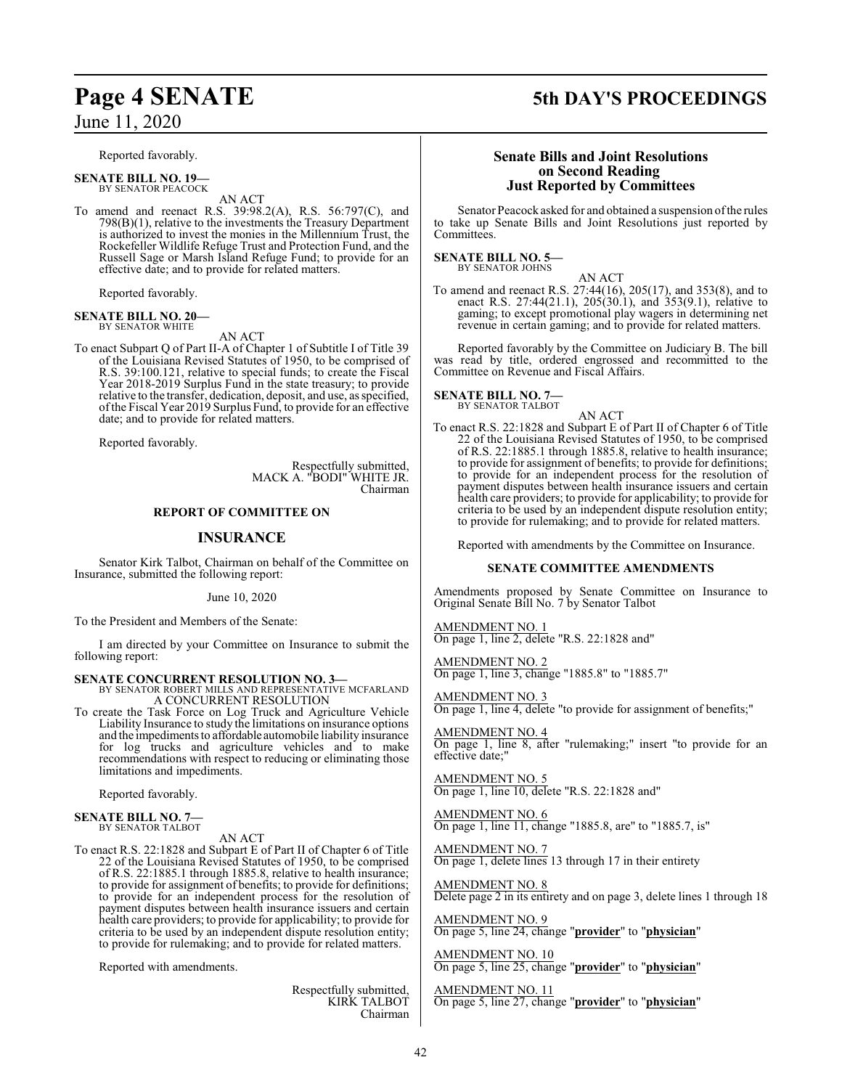June 11, 2020

Reported favorably.

**SENATE BILL NO. 19—** BY SENATOR PEACOCK

AN ACT

To amend and reenact R.S. 39:98.2(A), R.S. 56:797(C), and 798(B)(1), relative to the investments the Treasury Department is authorized to invest the monies in the Millennium Trust, the Rockefeller Wildlife Refuge Trust and Protection Fund, and the Russell Sage or Marsh Island Refuge Fund; to provide for an effective date; and to provide for related matters.

Reported favorably.

**SENATE BILL NO. 20—** BY SENATOR WHITE

AN ACT

To enact Subpart Q of Part II-A of Chapter 1 of Subtitle I of Title 39 of the Louisiana Revised Statutes of 1950, to be comprised of R.S. 39:100.121, relative to special funds; to create the Fiscal Year 2018-2019 Surplus Fund in the state treasury; to provide relative to the transfer, dedication, deposit, and use, as specified, ofthe Fiscal Year 2019 Surplus Fund, to provide for an effective date; and to provide for related matters.

Reported favorably.

Respectfully submitted, MACK A. "BODI" WHITE JR. Chairman

#### **REPORT OF COMMITTEE ON**

#### **INSURANCE**

Senator Kirk Talbot, Chairman on behalf of the Committee on Insurance, submitted the following report:

June 10, 2020

To the President and Members of the Senate:

I am directed by your Committee on Insurance to submit the following report:

**SENATE CONCURRENT RESOLUTION NO. 3—** BY SENATOR ROBERT MILLS AND REPRESENTATIVE MCFARLAND A CONCURRENT RESOLUTION

To create the Task Force on Log Truck and Agriculture Vehicle Liability Insurance to study the limitations on insurance options and the impediments to affordable automobile liability insurance for log trucks and agriculture vehicles and to make recommendations with respect to reducing or eliminating those limitations and impediments.

Reported favorably.

## **SENATE BILL NO. 7—** BY SENATOR TALBOT

AN ACT

To enact R.S. 22:1828 and Subpart E of Part II of Chapter 6 of Title 22 of the Louisiana Revised Statutes of 1950, to be comprised of R.S. 22:1885.1 through 1885.8, relative to health insurance; to provide for assignment of benefits; to provide for definitions; to provide for an independent process for the resolution of payment disputes between health insurance issuers and certain health care providers; to provide for applicability; to provide for criteria to be used by an independent dispute resolution entity; to provide for rulemaking; and to provide for related matters.

Reported with amendments.

Respectfully submitted, KIRK TALBOT Chairman

## **Page 4 SENATE 5th DAY'S PROCEEDINGS**

#### **Senate Bills and Joint Resolutions on Second Reading Just Reported by Committees**

Senator Peacock asked for and obtained a suspension ofthe rules to take up Senate Bills and Joint Resolutions just reported by Committees.

#### **SENATE BILL NO. 5—** BY SENATOR JOHNS

AN ACT To amend and reenact R.S. 27:44(16), 205(17), and 353(8), and to enact R.S. 27:44(21.1), 205(30.1), and 353(9.1), relative to gaming; to except promotional play wagers in determining net revenue in certain gaming; and to provide for related matters.

Reported favorably by the Committee on Judiciary B. The bill was read by title, ordered engrossed and recommitted to the Committee on Revenue and Fiscal Affairs.

#### **SENATE BILL NO. 7—** BY SENATOR TALBOT

AN ACT

To enact R.S. 22:1828 and Subpart E of Part II of Chapter 6 of Title 22 of the Louisiana Revised Statutes of 1950, to be comprised of R.S. 22:1885.1 through 1885.8, relative to health insurance; to provide for assignment of benefits; to provide for definitions; to provide for an independent process for the resolution of payment disputes between health insurance issuers and certain health care providers; to provide for applicability; to provide for criteria to be used by an independent dispute resolution entity; to provide for rulemaking; and to provide for related matters.

Reported with amendments by the Committee on Insurance.

#### **SENATE COMMITTEE AMENDMENTS**

Amendments proposed by Senate Committee on Insurance to Original Senate Bill No. 7 by Senator Talbot

AMENDMENT NO. 1 On page 1, line 2, delete "R.S. 22:1828 and"

AMENDMENT NO. 2 On page 1, line 3, change "1885.8" to "1885.7"

AMENDMENT NO. 3 On page 1, line 4, delete "to provide for assignment of benefits;"

AMENDMENT NO. 4 On page 1, line 8, after "rulemaking;" insert "to provide for an effective date;"

AMENDMENT NO. 5 On page 1, line 10, delete "R.S. 22:1828 and"

AMENDMENT NO. 6 On page 1, line 11, change "1885.8, are" to "1885.7, is"

AMENDMENT NO. 7 On page 1, delete lines 13 through 17 in their entirety

AMENDMENT NO. 8 Delete page 2 in its entirety and on page 3, delete lines 1 through 18

AMENDMENT NO. 9 On page 5, line 24, change "**provider**" to "**physician**"

AMENDMENT NO. 10 On page 5, line 25, change "**provider**" to "**physician**"

AMENDMENT NO. 11 On page 5, line 27, change "**provider**" to "**physician**"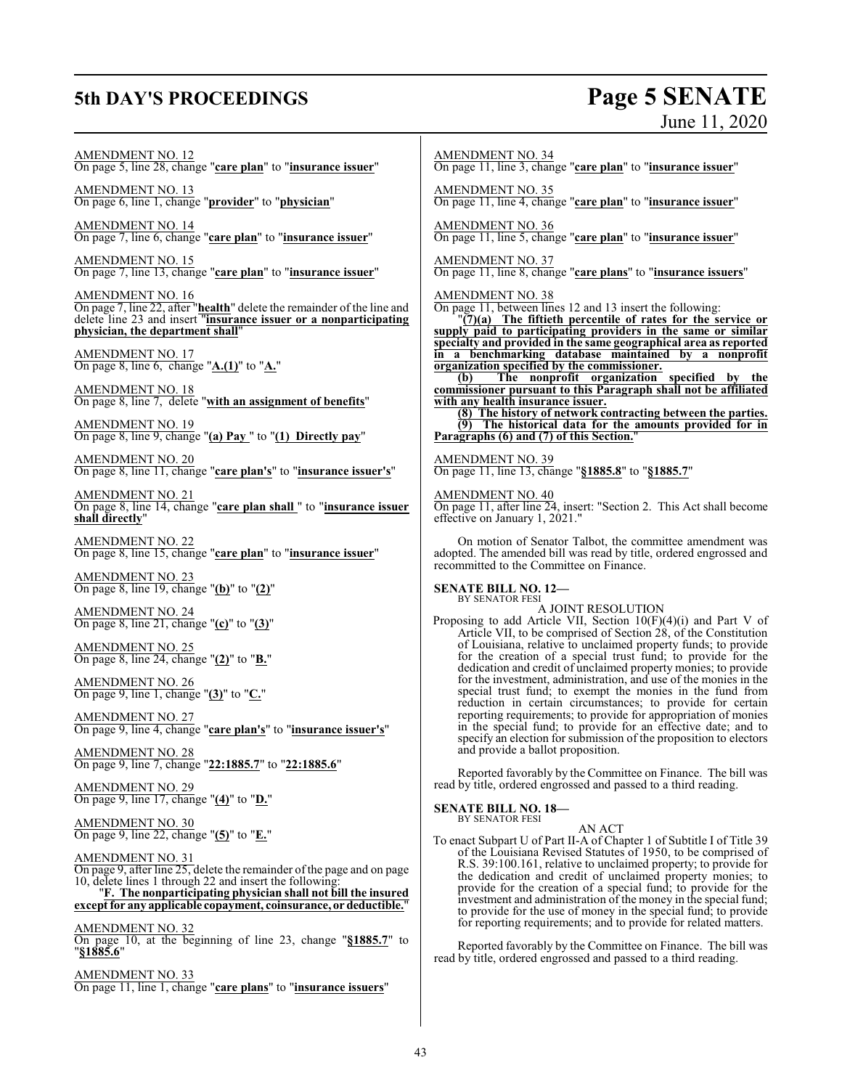## **5th DAY'S PROCEEDINGS Page 5 SENATE**

# June 11, 2020

AMENDMENT NO. 12 On page 5, line 28, change "**care plan**" to "**insurance issuer**"

AMENDMENT NO. 13 On page 6, line 1, change "**provider**" to "**physician**"

AMENDMENT NO. 14 On page 7, line 6, change "**care plan**" to "**insurance issuer**"

AMENDMENT NO. 15 On page 7, line 13, change "**care plan**" to "**insurance issuer**"

AMENDMENT NO. 16 On page 7, line 22, after "**health**" delete the remainder of the line and delete line 23 and insert "**insurance issuer or a nonparticipating physician, the department shall**"

AMENDMENT NO. 17 On page 8, line 6, change "**A.(1)**" to "**A.**"

AMENDMENT NO. 18 On page 8, line 7, delete "**with an assignment of benefits**"

AMENDMENT NO. 19 On page 8, line 9, change "**(a) Pay** " to "**(1) Directly pay**"

AMENDMENT NO. 20 On page 8, line 11, change "**care plan's**" to "**insurance issuer's**"

AMENDMENT NO. 21 On page 8, line 14, change "**care plan shall** " to "**insurance issuer shall directly**"

AMENDMENT NO. 22 On page 8, line 15, change "**care plan**" to "**insurance issuer**"

AMENDMENT NO. 23 On page 8, line 19, change "**(b)**" to "**(2)**"

AMENDMENT NO. 24 On page 8, line 21, change "**(c)**" to "**(3)**"

AMENDMENT NO. 25 On page 8, line 24, change "**(2)**" to "**B.**"

AMENDMENT NO. 26 On page 9, line 1, change "**(3)**" to "**C.**"

AMENDMENT NO. 27 On page 9, line 4, change "**care plan's**" to "**insurance issuer's**"

AMENDMENT NO. 28 On page 9, line 7, change "**22:1885.7**" to "**22:1885.6**"

AMENDMENT NO. 29 On page 9, line 17, change "**(4)**" to "**D.**"

AMENDMENT NO. 30 On page 9, line 22, change "**(5)**" to "**E.**"

#### AMENDMENT NO. 31

On page 9, after line 25, delete the remainder of the page and on page 10, delete lines 1 through 22 and insert the following:

"**F. The nonparticipating physician shall not bill the insured except for any applicable copayment, coinsurance, or deductible.**"

AMENDMENT NO. 32

On page 10, at the beginning of line 23, change "**§1885.7**" to "**§1885.6**"

AMENDMENT NO. 33 On page 11, line 1, change "**care plans**" to "**insurance issuers**" AMENDMENT NO. 34

On page 11, line 3, change "**care plan**" to "**insurance issuer**"

AMENDMENT NO. 35

On page 11, line 4, change "**care plan**" to "**insurance issuer**"

AMENDMENT NO. 36 On page 11, line 5, change "**care plan**" to "**insurance issuer**"

#### AMENDMENT NO. 37

On page 11, line 8, change "**care plans**" to "**insurance issuers**"

AMENDMENT NO. 38

On page 11, between lines 12 and 13 insert the following:

"**(7)(a) The fiftieth percentile of rates for the service or supply paid to participating providers in the same or similar specialty and provided in the same geographical area as reported in a benchmarking database maintained by a nonprofit organization specified by the commissioner.**

**(b) The nonprofit organization specified by the commissioner pursuant to this Paragraph shall not be affiliated with any health insurance issuer.**

**(8) The history of network contracting between the parties. (9) The historical data for the amounts provided for in Paragraphs (6) and (7) of this Section.**"

AMENDMENT NO. 39 On page 11, line 13, change "**§1885.8**" to "**§1885.7**"

AMENDMENT NO. 40

On page 11, after line 24, insert: "Section 2. This Act shall become effective on January 1, 2021."

On motion of Senator Talbot, the committee amendment was adopted. The amended bill was read by title, ordered engrossed and recommitted to the Committee on Finance.

## **SENATE BILL NO. 12—**<br>BY SENATOR FESI

A JOINT RESOLUTION

Proposing to add Article VII, Section 10(F)(4)(i) and Part V of Article VII, to be comprised of Section 28, of the Constitution of Louisiana, relative to unclaimed property funds; to provide for the creation of a special trust fund; to provide for the dedication and credit of unclaimed property monies; to provide for the investment, administration, and use of the monies in the special trust fund; to exempt the monies in the fund from reduction in certain circumstances; to provide for certain reporting requirements; to provide for appropriation of monies in the special fund; to provide for an effective date; and to specify an election for submission of the proposition to electors and provide a ballot proposition.

Reported favorably by the Committee on Finance. The bill was read by title, ordered engrossed and passed to a third reading.

#### **SENATE BILL NO. 18—**

BY SENATOR FESI

AN ACT To enact Subpart U of Part II-A of Chapter 1 of Subtitle I of Title 39 of the Louisiana Revised Statutes of 1950, to be comprised of R.S. 39:100.161, relative to unclaimed property; to provide for the dedication and credit of unclaimed property monies; to provide for the creation of a special fund; to provide for the investment and administration of the money in the special fund; to provide for the use of money in the special fund; to provide for reporting requirements; and to provide for related matters.

Reported favorably by the Committee on Finance. The bill was read by title, ordered engrossed and passed to a third reading.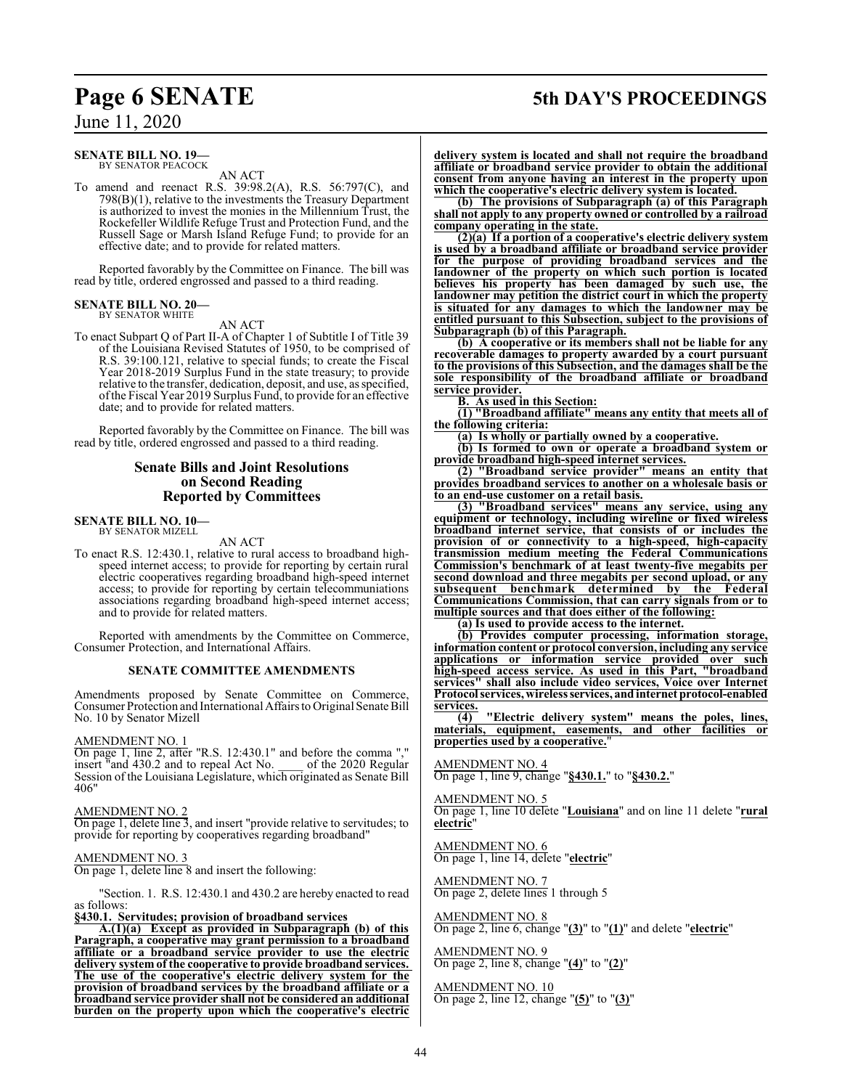## **Page 6 SENATE 5th DAY'S PROCEEDINGS**

## June 11, 2020

#### **SENATE BILL NO. 19—** BY SENATOR PEACOCK

AN ACT

To amend and reenact R.S. 39:98.2(A), R.S. 56:797(C), and 798(B)(1), relative to the investments the Treasury Department is authorized to invest the monies in the Millennium Trust, the Rockefeller Wildlife Refuge Trust and Protection Fund, and the Russell Sage or Marsh Island Refuge Fund; to provide for an effective date; and to provide for related matters.

Reported favorably by the Committee on Finance. The bill was read by title, ordered engrossed and passed to a third reading.

#### **SENATE BILL NO. 20—** BY SENATOR WHITE

AN ACT

To enact Subpart Q of Part II-A of Chapter 1 of Subtitle I of Title 39 of the Louisiana Revised Statutes of 1950, to be comprised of R.S. 39:100.121, relative to special funds; to create the Fiscal Year 2018-2019 Surplus Fund in the state treasury; to provide relative to the transfer, dedication, deposit, and use, as specified, ofthe Fiscal Year 2019 Surplus Fund, to provide for an effective date; and to provide for related matters.

Reported favorably by the Committee on Finance. The bill was read by title, ordered engrossed and passed to a third reading.

#### **Senate Bills and Joint Resolutions on Second Reading Reported by Committees**

**SENATE BILL NO. 10—** BY SENATOR MIZELL

AN ACT

To enact R.S. 12:430.1, relative to rural access to broadband highspeed internet access; to provide for reporting by certain rural electric cooperatives regarding broadband high-speed internet access; to provide for reporting by certain telecommuniations associations regarding broadband high-speed internet access; and to provide for related matters.

Reported with amendments by the Committee on Commerce, Consumer Protection, and International Affairs.

#### **SENATE COMMITTEE AMENDMENTS**

Amendments proposed by Senate Committee on Commerce, Consumer Protection and International Affairs to Original Senate Bill No. 10 by Senator Mizell

#### AMENDMENT NO. 1

On page 1, line 2, after "R.S. 12:430.1" and before the comma "," insert "and 430.2 and to repeal Act No. \_\_\_\_ of the 2020 Regular Session of the Louisiana Legislature, which originated as Senate Bill 406"

#### AMENDMENT NO. 2

On page 1, delete line 3, and insert "provide relative to servitudes; to provide for reporting by cooperatives regarding broadband"

### AMENDMENT NO. 3

On page 1, delete line 8 and insert the following:

"Section. 1. R.S. 12:430.1 and 430.2 are hereby enacted to read as follows:

#### **§430.1. Servitudes; provision of broadband services**

**A.(1)(a) Except as provided in Subparagraph (b) of this Paragraph, a cooperative may grant permission to a broadband affiliate or a broadband service provider to use the electric delivery system of the cooperative to provide broadband services. The use of the cooperative's electric delivery system for the provision of broadband services by the broadband affiliate or a broadband service provider shall not be considered an additional burden on the property upon which the cooperative's electric**

**delivery system is located and shall not require the broadband affiliate or broadband service provider to obtain the additional consent from anyone having an interest in the property upon which the cooperative's electric delivery system is located.**

**(b) The provisions of Subparagraph (a) of this Paragraph shall not apply to any property owned or controlled by a railroad company operating in the state.**

**(2)(a) If a portion of a cooperative's electric delivery system is used by a broadband affiliate or broadband service provider for the purpose of providing broadband services and the landowner of the property on which such portion is located believes his property has been damaged by such use, the landowner may petition the district court in which the property is situated for any damages to which the landowner may be entitled pursuant to this Subsection, subject to the provisions of Subparagraph (b) of this Paragraph.**

**(b) A cooperative or its members shall not be liable for any recoverable damages to property awarded by a court pursuant to the provisions of this Subsection, and the damages shall be the sole responsibility of the broadband affiliate or broadband service provider.**

**B. As used in this Section:**

**(1) "Broadband affiliate" means any entity that meets all of the following criteria:**

**(a) Is wholly or partially owned by a cooperative.**

**(b) Is formed to own or operate a broadband system or provide broadband high-speed internet services.**

**(2) "Broadband service provider" means an entity that provides broadband services to another on a wholesale basis or to an end-use customer on a retail basis.**

**(3) "Broadband services" means any service, using any equipment or technology, including wireline or fixed wireless broadband internet service, that consists of or includes the provision of or connectivity to a high-speed, high-capacity transmission medium meeting the Federal Communications Commission's benchmark of at least twenty-five megabits per second download and three megabits per second upload, or any subsequent benchmark determined by the Federal Communications Commission, that can carry signals from or to multiple sources and that does either of the following:**

**(a) Is used to provide access to the internet.**

**(b) Provides computer processing, information storage, information content or protocol conversion, including any service applications or information service provided over such high-speed access service. As used in this Part, "broadband services" shall also include video services, Voice over Internet Protocol services, wireless services, andinternet protocol-enabled** services.

**(4) "Electric delivery system" means the poles, lines, materials, equipment, easements, and other facilities or properties used by a cooperative.**"

AMENDMENT NO. 4 On page 1, line 9, change "**§430.1.**" to "**§430.2.**"

AMENDMENT NO. 5

On page 1, line 10 delete "**Louisiana**" and on line 11 delete "**rural electric**"

AMENDMENT NO. 6 On page 1, line 14, delete "**electric**"

AMENDMENT NO. 7 On page 2, delete lines 1 through 5

AMENDMENT NO. 8 On page 2, line 6, change "**(3)**" to "**(1)**" and delete "**electric**"

AMENDMENT NO. 9 On page 2, line 8, change "**(4)**" to "**(2)**"

#### AMENDMENT NO. 10

On page 2, line 12, change "**(5)**" to "**(3)**"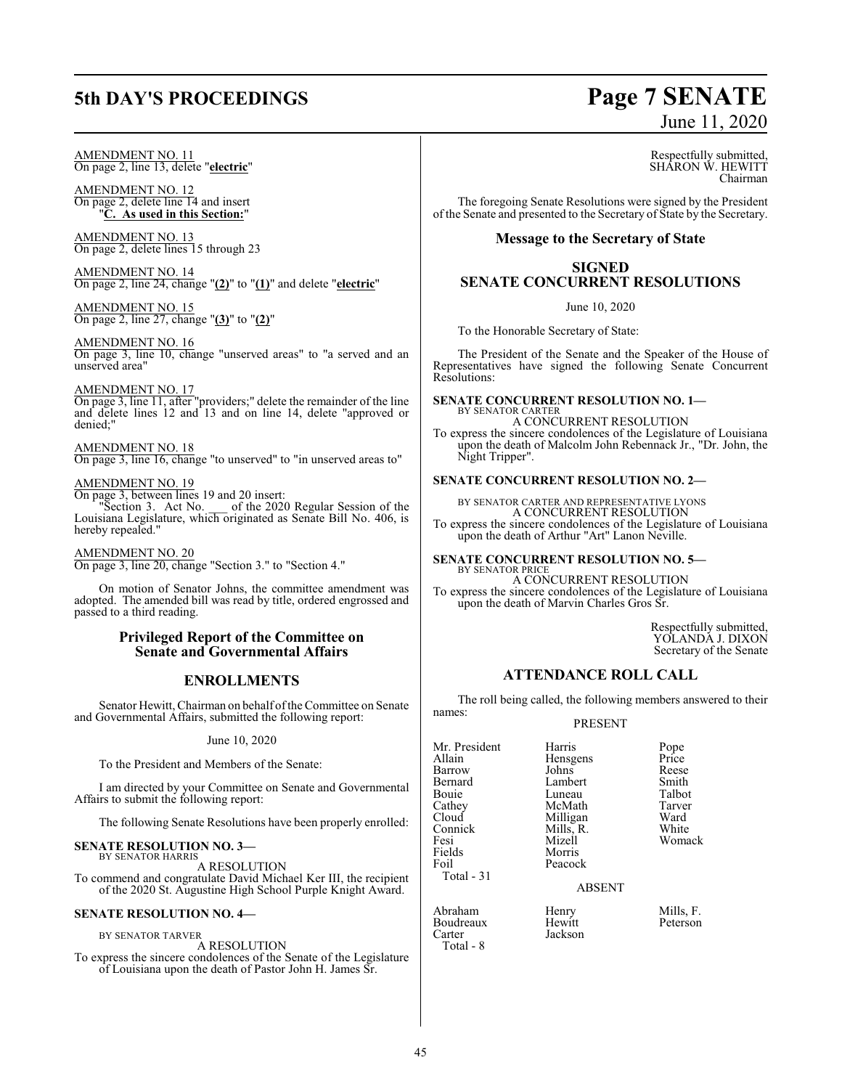## **5th DAY'S PROCEEDINGS Page 7 SENATE**

# June 11, 2020

AMENDMENT NO. 11 On page 2, line 13, delete "**electric**"

AMENDMENT NO. 12 On page 2, delete line 14 and insert "**C. As used in this Section:**"

AMENDMENT NO. 13 On page 2, delete lines 15 through 23

AMENDMENT NO. 14 On page 2, line 24, change "**(2)**" to "**(1)**" and delete "**electric**"

AMENDMENT NO. 15 On page 2, line 27, change "**(3)**" to "**(2)**"

AMENDMENT NO. 16 On page 3, line 10, change "unserved areas" to "a served and an unserved area"

#### AMENDMENT NO. 17

On page 3, line 11, after "providers;" delete the remainder of the line and delete lines 12 and 13 and on line 14, delete "approved or denied;"

#### AMENDMENT NO. 18

On page 3, line 16, change "to unserved" to "in unserved areas to"

#### AMENDMENT NO. 19

On page 3, between lines 19 and 20 insert:

"Section 3. Act No. \_\_\_ of the 2020 Regular Session of the Louisiana Legislature, which originated as Senate Bill No. 406, is hereby repealed."

AMENDMENT NO. 20 On page 3, line 20, change "Section 3." to "Section 4."

On motion of Senator Johns, the committee amendment was adopted. The amended bill was read by title, ordered engrossed and passed to a third reading.

#### **Privileged Report of the Committee on Senate and Governmental Affairs**

### **ENROLLMENTS**

Senator Hewitt, Chairman on behalf of the Committee on Senate and Governmental Affairs, submitted the following report:

#### June 10, 2020

To the President and Members of the Senate:

I am directed by your Committee on Senate and Governmental Affairs to submit the following report:

The following Senate Resolutions have been properly enrolled:

#### **SENATE RESOLUTION NO. 3—**

BY SENATOR HARRIS A RESOLUTION

To commend and congratulate David Michael Ker III, the recipient of the 2020 St. Augustine High School Purple Knight Award.

#### **SENATE RESOLUTION NO. 4—**

BY SENATOR TARVER

A RESOLUTION To express the sincere condolences of the Senate of the Legislature of Louisiana upon the death of Pastor John H. James Sr.

Respectfully submitted, SHARON W. HEWITT Chairman

The foregoing Senate Resolutions were signed by the President of the Senate and presented to the Secretary of State by the Secretary.

#### **Message to the Secretary of State**

#### **SIGNED SENATE CONCURRENT RESOLUTIONS**

June 10, 2020

To the Honorable Secretary of State:

The President of the Senate and the Speaker of the House of Representatives have signed the following Senate Concurrent Resolutions:

#### **SENATE CONCURRENT RESOLUTION NO. 1—** BY SENATOR CARTER

A CONCURRENT RESOLUTION To express the sincere condolences of the Legislature of Louisiana upon the death of Malcolm John Rebennack Jr., "Dr. John, the Night Tripper".

#### **SENATE CONCURRENT RESOLUTION NO. 2—**

BY SENATOR CARTER AND REPRESENTATIVE LYONS A CONCURRENT RESOLUTION To express the sincere condolences of the Legislature of Louisiana upon the death of Arthur "Art" Lanon Neville.

#### **SENATE CONCURRENT RESOLUTION NO. 5—** BY SENATOR PRICE

A CONCURRENT RESOLUTION To express the sincere condolences of the Legislature of Louisiana upon the death of Marvin Charles Gros Sr.

> Respectfully submitted, YOLANDA J. DIXON Secretary of the Senate

#### **ATTENDANCE ROLL CALL**

The roll being called, the following members answered to their names:

PRESENT

Mr. President Harris Pope<br>Allain Hensgens Price Barrow Johns Reese<br>Bernard Lambert Smith Bernard Lambert Smith<br>Bouie Luneau Talbot Bouie Luneau Talbot<br>Cathey McMath Tarver Cathey McMath Tarver<br>Cloud Milligan Ward Cloud Milligan Ward<br>
Connick Mills. R. White Connick Mills, R.<br>Fesi Mizell Fesi Mizell Womack Fields Morris<br>Foil Peacoc Total - 31

Peacock

Jackson

Hensgens Price<br>Johns Reese

#### ABSENT

en<br>Abraham Henry Mills, F.<br>Boudreaux Hewitt Peterson Boudreaux<br>Carter Total - 8